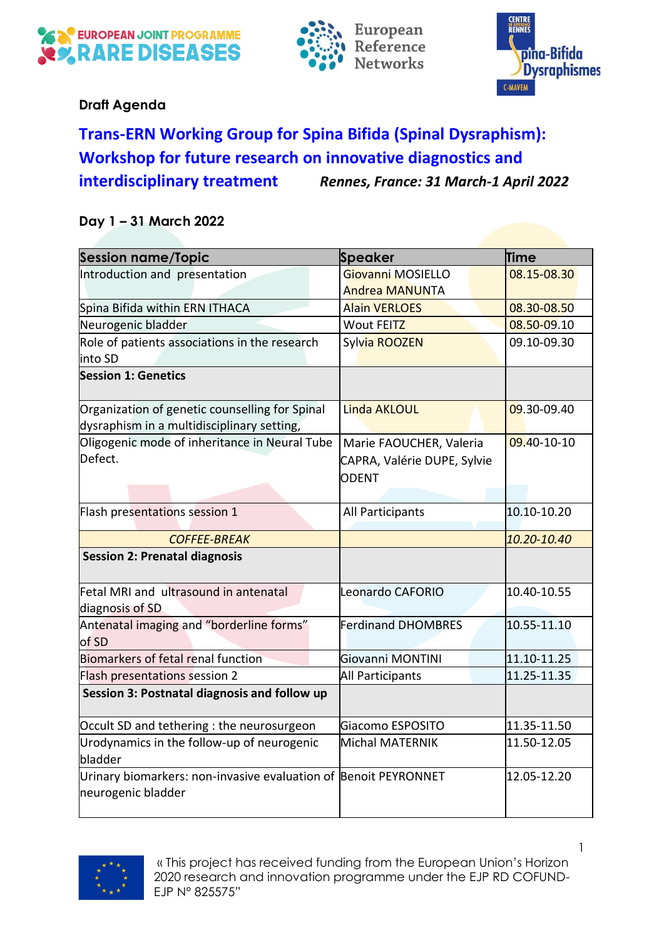





## **Draft Agenda**

## **Trans-ERN Working Group for Spina Bifida (Spinal Dysraphism): Workshop for future research on innovative diagnostics and interdisciplinary treatment** *Rennes, France: 31 March-1 April 2022*

## **Day 1 – 31 March 2022**

| <b>Session name/Topic</b>                                                                    | Speaker                                                                | <b>Time</b> |
|----------------------------------------------------------------------------------------------|------------------------------------------------------------------------|-------------|
| Introduction and presentation                                                                | Giovanni MOSIELLO<br><b>Andrea MANUNTA</b>                             | 08.15-08.30 |
| Spina Bifida within ERN ITHACA                                                               | <b>Alain VERLOES</b>                                                   | 08.30-08.50 |
| Neurogenic bladder                                                                           | <b>Wout FEITZ</b>                                                      | 08.50-09.10 |
| Role of patients associations in the research<br>into SD                                     | Sylvia ROOZEN                                                          | 09.10-09.30 |
| <b>Session 1: Genetics</b>                                                                   |                                                                        |             |
| Organization of genetic counselling for Spinal<br>dysraphism in a multidisciplinary setting, | <b>Linda AKLOUL</b>                                                    | 09.30-09.40 |
| Oligogenic mode of inheritance in Neural Tube<br>Defect.                                     | Marie FAOUCHER, Valeria<br>CAPRA, Valérie DUPE, Sylvie<br><b>ODENT</b> | 09.40-10-10 |
| Flash presentations session 1                                                                | All Participants                                                       | 10.10-10.20 |
| <b>COFFEE-BREAK</b>                                                                          |                                                                        | 10.20-10.40 |
| <b>Session 2: Prenatal diagnosis</b>                                                         |                                                                        |             |
| Fetal MRI and ultrasound in antenatal<br>diagnosis of SD                                     | Leonardo CAFORIO                                                       | 10.40-10.55 |
| Antenatal imaging and "borderline forms"<br>of SD                                            | <b>Ferdinand DHOMBRES</b>                                              | 10.55-11.10 |
| <b>Biomarkers of fetal renal function</b>                                                    | Giovanni MONTINI                                                       | 11.10-11.25 |
| Flash presentations session 2                                                                | <b>All Participants</b>                                                | 11.25-11.35 |
| Session 3: Postnatal diagnosis and follow up                                                 |                                                                        |             |
| Occult SD and tethering : the neurosurgeon                                                   | Giacomo ESPOSITO                                                       | 11.35-11.50 |
| Urodynamics in the follow-up of neurogenic<br>bladder                                        | <b>Michal MATERNIK</b>                                                 | 11.50-12.05 |
| Urinary biomarkers: non-invasive evaluation of Benoit PEYRONNET<br>neurogenic bladder        |                                                                        | 12.05-12.20 |

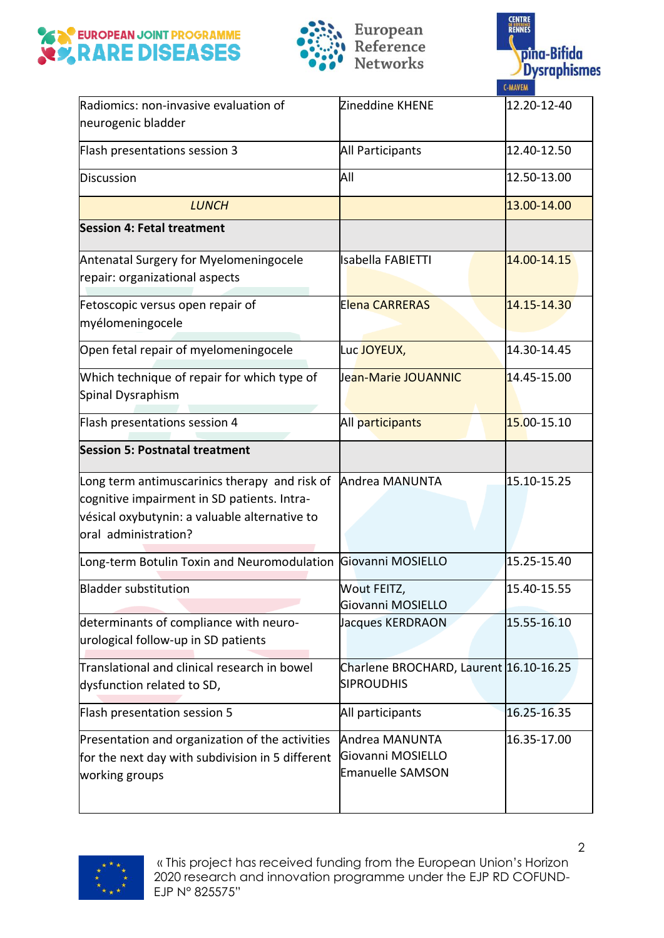





| Radiomics: non-invasive evaluation of<br>neurogenic bladder                                                                                                           | Zineddine KHENE                                                | 12.20-12-40 |
|-----------------------------------------------------------------------------------------------------------------------------------------------------------------------|----------------------------------------------------------------|-------------|
| Flash presentations session 3                                                                                                                                         | <b>All Participants</b>                                        | 12.40-12.50 |
| Discussion                                                                                                                                                            | All                                                            | 12.50-13.00 |
| <b>LUNCH</b>                                                                                                                                                          |                                                                | 13.00-14.00 |
| <b>Session 4: Fetal treatment</b>                                                                                                                                     |                                                                |             |
| Antenatal Surgery for Myelomeningocele<br>repair: organizational aspects                                                                                              | <b>Isabella FABIETTI</b>                                       | 14.00-14.15 |
| Fetoscopic versus open repair of<br>myélomeningocele                                                                                                                  | <b>Elena CARRERAS</b>                                          | 14.15-14.30 |
| Open fetal repair of myelomeningocele                                                                                                                                 | Luc JOYEUX,                                                    | 14.30-14.45 |
| Which technique of repair for which type of<br>Spinal Dysraphism                                                                                                      | Jean-Marie JOUANNIC                                            | 14.45-15.00 |
| Flash presentations session 4                                                                                                                                         | All participants                                               | 15.00-15.10 |
| <b>Session 5: Postnatal treatment</b>                                                                                                                                 |                                                                |             |
| Long term antimuscarinics therapy and risk of<br>cognitive impairment in SD patients. Intra-<br>vésical oxybutynin: a valuable alternative to<br>oral administration? | Andrea MANUNTA                                                 | 15.10-15.25 |
| Long-term Botulin Toxin and Neuromodulation Giovanni MOSIELLO                                                                                                         |                                                                | 15.25-15.40 |
| <b>Bladder substitution</b>                                                                                                                                           | Wout FEITZ.<br>Giovanni MOSIELLO                               | 15.40-15.55 |
| determinants of compliance with neuro-<br>urological follow-up in SD patients                                                                                         | Jacques KERDRAON                                               | 15.55-16.10 |
| Translational and clinical research in bowel<br>dysfunction related to SD,                                                                                            | Charlene BROCHARD, Laurent 16.10-16.25<br><b>SIPROUDHIS</b>    |             |
| Flash presentation session 5                                                                                                                                          | All participants                                               | 16.25-16.35 |
| Presentation and organization of the activities<br>for the next day with subdivision in 5 different<br>working groups                                                 | Andrea MANUNTA<br>Giovanni MOSIELLO<br><b>Emanuelle SAMSON</b> | 16.35-17.00 |